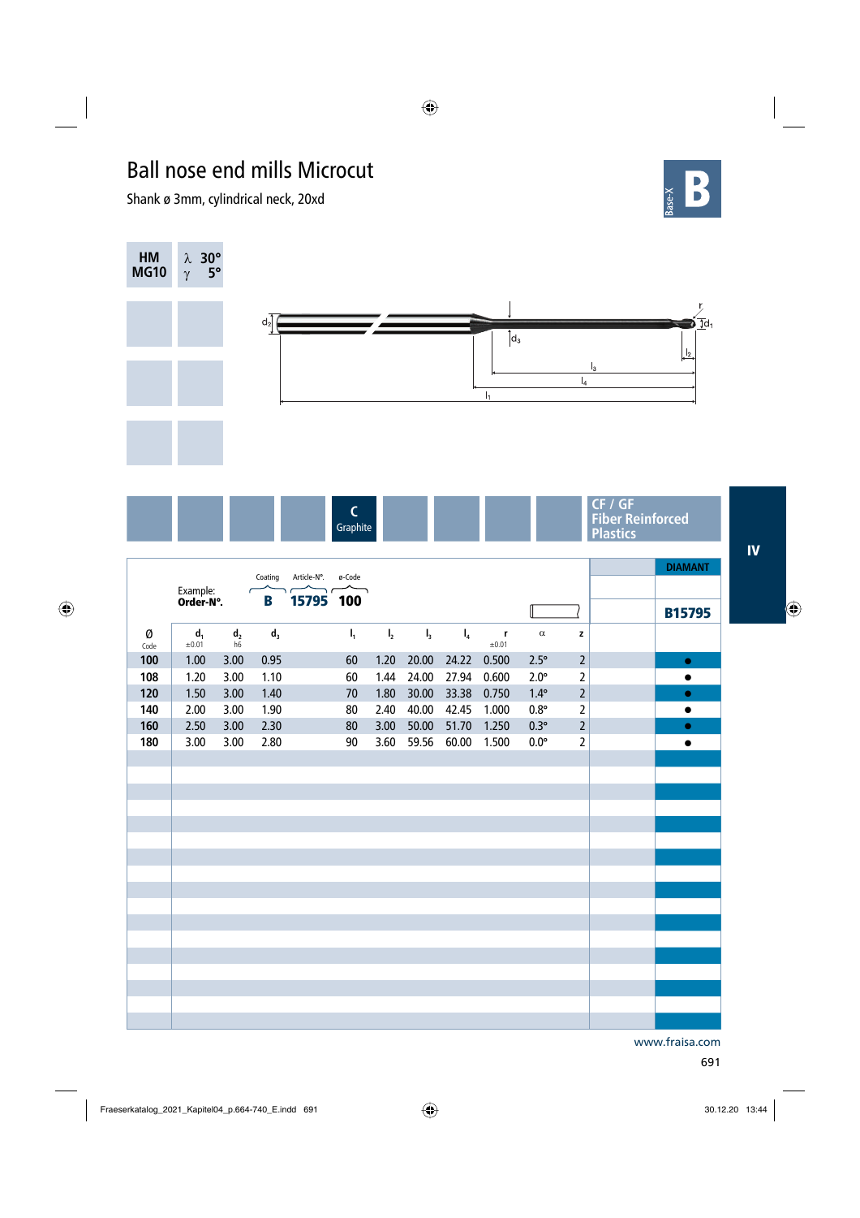## Ball nose end mills Microcut

Shank ø 3mm, cylindrical neck, 20xd





|           |                       |                              |         |                           |                                    |                |                |       |                      |             |                | <b>DIAMANT</b> |
|-----------|-----------------------|------------------------------|---------|---------------------------|------------------------------------|----------------|----------------|-------|----------------------|-------------|----------------|----------------|
|           | Example:<br>Order-N°. |                              | Coating | Article-N°.<br>$\sqrt{2}$ | ø-Code<br>$\overline{\phantom{a}}$ |                |                |       |                      |             |                |                |
|           |                       |                              | B       | 15795 100                 |                                    |                |                |       |                      |             |                | <b>B15795</b>  |
| Ø<br>Code | $d_1$<br>±0.01        | d <sub>2</sub><br>$h\bar{6}$ | $d_3$   |                           | $I_1$                              | $\mathbf{I}_2$ | $\mathbf{l}_3$ | $I_4$ | $\mathbf r$<br>±0.01 | $\alpha$    | z              |                |
| 100       | 1.00                  | 3.00                         | 0.95    |                           | 60                                 | 1.20           | 20.00          | 24.22 | 0.500                | $2.5^\circ$ | $\overline{2}$ | $\bullet$      |
| 108       | 1.20                  | 3.00                         | 1.10    |                           | 60                                 | 1.44           | 24.00          | 27.94 | 0.600                | $2.0^\circ$ | $\overline{2}$ | $\bullet$      |
| 120       | 1.50                  | 3.00                         | 1.40    |                           | 70                                 | 1.80           | 30.00          | 33.38 | 0.750                | $1.4^\circ$ | $\overline{2}$ | $\bullet$      |
| 140       | 2.00                  | 3.00                         | 1.90    |                           | 80                                 | 2.40           | 40.00          | 42.45 | 1.000                | $0.8^\circ$ | $\overline{2}$ | $\bullet$      |
| 160       | 2.50                  | 3.00                         | 2.30    |                           | 80                                 | 3.00           | 50.00          | 51.70 | 1.250                | $0.3^\circ$ | $\overline{2}$ | $\bullet$      |
| 180       | 3.00                  | 3.00                         | 2.80    |                           | 90                                 | 3.60           | 59.56          | 60.00 | 1.500                | $0.0^\circ$ | $\overline{2}$ | $\bullet$      |
|           |                       |                              |         |                           |                                    |                |                |       |                      |             |                |                |
|           |                       |                              |         |                           |                                    |                |                |       |                      |             |                |                |
|           |                       |                              |         |                           |                                    |                |                |       |                      |             |                |                |
|           |                       |                              |         |                           |                                    |                |                |       |                      |             |                |                |
|           |                       |                              |         |                           |                                    |                |                |       |                      |             |                |                |
|           |                       |                              |         |                           |                                    |                |                |       |                      |             |                |                |
|           |                       |                              |         |                           |                                    |                |                |       |                      |             |                |                |
|           |                       |                              |         |                           |                                    |                |                |       |                      |             |                |                |
|           |                       |                              |         |                           |                                    |                |                |       |                      |             |                |                |
|           |                       |                              |         |                           |                                    |                |                |       |                      |             |                |                |
|           |                       |                              |         |                           |                                    |                |                |       |                      |             |                |                |
|           |                       |                              |         |                           |                                    |                |                |       |                      |             |                |                |
|           |                       |                              |         |                           |                                    |                |                |       |                      |             |                |                |
|           |                       |                              |         |                           |                                    |                |                |       |                      |             |                |                |
|           |                       |                              |         |                           |                                    |                |                |       |                      |             |                |                |
|           |                       |                              |         |                           |                                    |                |                |       |                      |             |                |                |

www.fraisa.com